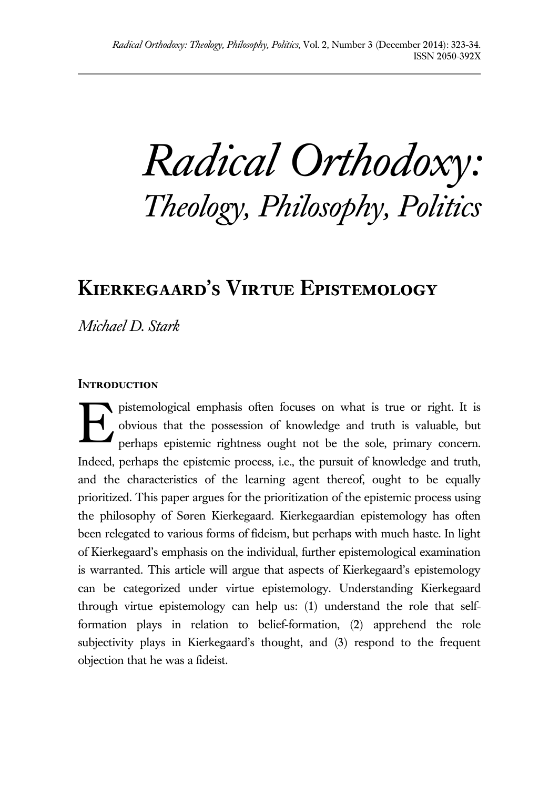*Radical Orthodoxy: Theology, Philosophy, Politics*

# **Kierkegaard's Virtue Epistemology**

*Michael D. Stark*

# **INTRODUCTION**

pistemological emphasis often focuses on what is true or right. It is obvious that the possession of knowledge and truth is valuable, but perhaps epistemic rightness ought not be the sole, primary concern. Indeed, perhaps the epistemic process, i.e., the pursuit of knowledge and truth, and the characteristics of the learning agent thereof, ought to be equally prioritized. This paper argues for the prioritization of the epistemic process using the philosophy of Søren Kierkegaard. Kierkegaardian epistemology has often been relegated to various forms of fideism, but perhaps with much haste. In light of Kierkegaard's emphasis on the individual, further epistemological examination is warranted. This article will argue that aspects of Kierkegaard's epistemology can be categorized under virtue epistemology. Understanding Kierkegaard through virtue epistemology can help us: (1) understand the role that selfformation plays in relation to belief-formation, (2) apprehend the role subjectivity plays in Kierkegaard's thought, and (3) respond to the frequent objection that he was a fideist. E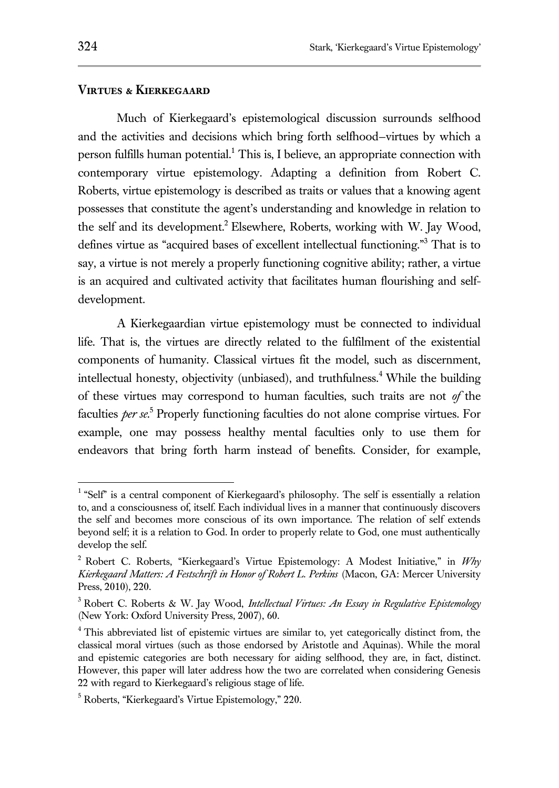## **Virtues & Kierkegaard**

Much of Kierkegaard's epistemological discussion surrounds selfhood and the activities and decisions which bring forth selfhood—virtues by which a person fulfills human potential.<sup>1</sup> This is, I believe, an appropriate connection with contemporary virtue epistemology. Adapting a definition from Robert C. Roberts, virtue epistemology is described as traits or values that a knowing agent possesses that constitute the agent's understanding and knowledge in relation to the self and its development.<sup>2</sup> Elsewhere, Roberts, working with W. Jay Wood, defines virtue as "acquired bases of excellent intellectual functioning."<sup>3</sup> That is to say, a virtue is not merely a properly functioning cognitive ability; rather, a virtue is an acquired and cultivated activity that facilitates human flourishing and selfdevelopment.

A Kierkegaardian virtue epistemology must be connected to individual life. That is, the virtues are directly related to the fulfilment of the existential components of humanity. Classical virtues fit the model, such as discernment, intellectual honesty, objectivity (unbiased), and truthfulness.<sup>4</sup> While the building of these virtues may correspond to human faculties, such traits are not *of* the faculties *per se*. 5 Properly functioning faculties do not alone comprise virtues. For example, one may possess healthy mental faculties only to use them for endeavors that bring forth harm instead of benefits. Consider, for example,

<sup>&</sup>lt;sup>1</sup> "Self" is a central component of Kierkegaard's philosophy. The self is essentially a relation to, and a consciousness of, itself. Each individual lives in a manner that continuously discovers the self and becomes more conscious of its own importance. The relation of self extends beyond self; it is a relation to God. In order to properly relate to God, one must authentically develop the self.

<sup>2</sup> Robert C. Roberts, "Kierkegaard's Virtue Epistemology: A Modest Initiative," in *Why Kierkegaard Matters: A Festschrift in Honor of Robert L. Perkins* (Macon, GA: Mercer University Press, 2010), 220.

<sup>3</sup> Robert C. Roberts & W. Jay Wood, *Intellectual Virtues: An Essay in Regulative Epistemology* (New York: Oxford University Press, 2007), 60.

<sup>&</sup>lt;sup>4</sup> This abbreviated list of epistemic virtues are similar to, yet categorically distinct from, the classical moral virtues (such as those endorsed by Aristotle and Aquinas). While the moral and epistemic categories are both necessary for aiding selfhood, they are, in fact, distinct. However, this paper will later address how the two are correlated when considering Genesis 22 with regard to Kierkegaard's religious stage of life.

<sup>5</sup> Roberts, "Kierkegaard's Virtue Epistemology," 220.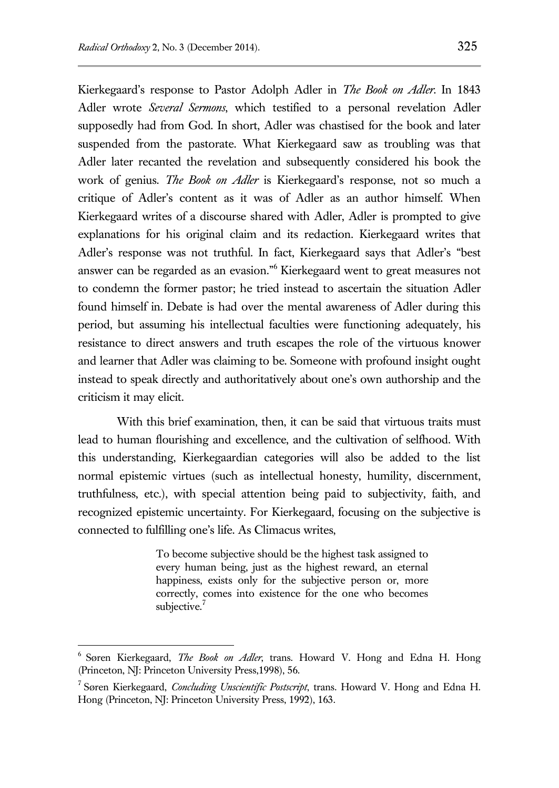Kierkegaard's response to Pastor Adolph Adler in *The Book on Adler*. In 1843 Adler wrote *Several Sermons*, which testified to a personal revelation Adler supposedly had from God. In short, Adler was chastised for the book and later suspended from the pastorate. What Kierkegaard saw as troubling was that Adler later recanted the revelation and subsequently considered his book the work of genius. *The Book on Adler* is Kierkegaard's response, not so much a critique of Adler's content as it was of Adler as an author himself. When Kierkegaard writes of a discourse shared with Adler, Adler is prompted to give explanations for his original claim and its redaction. Kierkegaard writes that Adler's response was not truthful. In fact, Kierkegaard says that Adler's "best answer can be regarded as an evasion."<sup>6</sup> Kierkegaard went to great measures not to condemn the former pastor; he tried instead to ascertain the situation Adler found himself in. Debate is had over the mental awareness of Adler during this period, but assuming his intellectual faculties were functioning adequately, his resistance to direct answers and truth escapes the role of the virtuous knower and learner that Adler was claiming to be. Someone with profound insight ought instead to speak directly and authoritatively about one's own authorship and the criticism it may elicit.

With this brief examination, then, it can be said that virtuous traits must lead to human flourishing and excellence, and the cultivation of selfhood. With this understanding, Kierkegaardian categories will also be added to the list normal epistemic virtues (such as intellectual honesty, humility, discernment, truthfulness, etc.), with special attention being paid to subjectivity, faith, and recognized epistemic uncertainty. For Kierkegaard, focusing on the subjective is connected to fulfilling one's life. As Climacus writes,

> To become subjective should be the highest task assigned to every human being, just as the highest reward, an eternal happiness, exists only for the subjective person or, more correctly, comes into existence for the one who becomes subjective.<sup>7</sup>

<sup>6</sup> Søren Kierkegaard, *The Book on Adler*, trans. Howard V. Hong and Edna H. Hong (Princeton, NJ: Princeton University Press,1998), 56.

<sup>7</sup> Søren Kierkegaard, *Concluding Unscientific Postscript*, trans. Howard V. Hong and Edna H. Hong (Princeton, NJ: Princeton University Press, 1992), 163.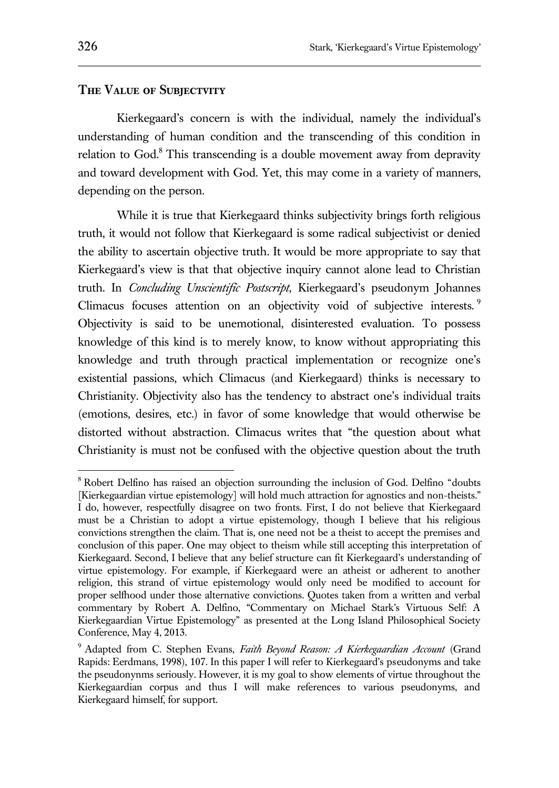#### **The Value of Subjectvity**

Kierkegaard's concern is with the individual, namely the individual's understanding of human condition and the transcending of this condition in relation to God. $8$  This transcending is a double movement away from depravity and toward development with God. Yet, this may come in a variety of manners, depending on the person.

While it is true that Kierkegaard thinks subjectivity brings forth religious truth, it would not follow that Kierkegaard is some radical subjectivist or denied the ability to ascertain objective truth. It would be more appropriate to say that Kierkegaard's view is that that objective inquiry cannot alone lead to Christian truth. In *Concluding Unscientific Postscript*, Kierkegaard's pseudonym Johannes Climacus focuses attention on an objectivity void of subjective interests.<sup>9</sup> Objectivity is said to be unemotional, disinterested evaluation. To possess knowledge of this kind is to merely know, to know without appropriating this knowledge and truth through practical implementation or recognize one's existential passions, which Climacus (and Kierkegaard) thinks is necessary to Christianity. Objectivity also has the tendency to abstract one's individual traits (emotions, desires, etc.) in favor of some knowledge that would otherwise be distorted without abstraction. Climacus writes that "the question about what Christianity is must not be confused with the objective question about the truth

<sup>8</sup> Robert Delfino has raised an objection surrounding the inclusion of God. Delfino "doubts [Kierkegaardian virtue epistemology] will hold much attraction for agnostics and non-theists." I do, however, respectfully disagree on two fronts. First, I do not believe that Kierkegaard must be a Christian to adopt a virtue epistemology, though I believe that his religious convictions strengthen the claim. That is, one need not be a theist to accept the premises and conclusion of this paper. One may object to theism while still accepting this interpretation of Kierkegaard. Second, I believe that any belief structure can fit Kierkegaard's understanding of virtue epistemology. For example, if Kierkegaard were an atheist or adherent to another religion, this strand of virtue epistemology would only need be modified to account for proper selfhood under those alternative convictions. Quotes taken from a written and verbal commentary by Robert A. Delfino, "Commentary on Michael Stark's Virtuous Self: A Kierkegaardian Virtue Epistemology" as presented at the Long Island Philosophical Society Conference, May 4, 2013.

<sup>9</sup> Adapted from C. Stephen Evans, *Faith Beyond Reason: A Kierkegaardian Account* (Grand Rapids: Eerdmans, 1998), 107. In this paper I will refer to Kierkegaard's pseudonyms and take the pseudonynms seriously. However, it is my goal to show elements of virtue throughout the Kierkegaardian corpus and thus I will make references to various pseudonyms, and Kierkegaard himself, for support.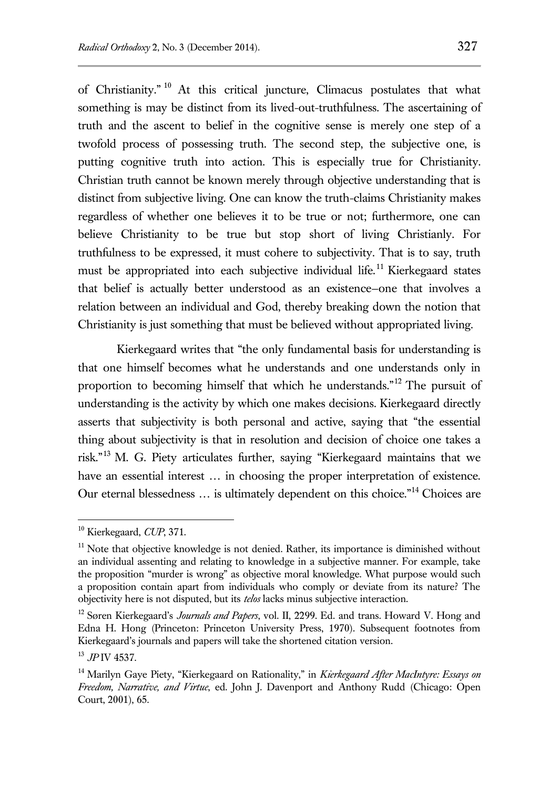of Christianity." <sup>10</sup> At this critical juncture, Climacus postulates that what something is may be distinct from its lived-out-truthfulness. The ascertaining of truth and the ascent to belief in the cognitive sense is merely one step of a twofold process of possessing truth. The second step, the subjective one, is putting cognitive truth into action. This is especially true for Christianity. Christian truth cannot be known merely through objective understanding that is distinct from subjective living. One can know the truth-claims Christianity makes regardless of whether one believes it to be true or not; furthermore, one can believe Christianity to be true but stop short of living Christianly. For truthfulness to be expressed, it must cohere to subjectivity. That is to say, truth must be appropriated into each subjective individual life.<sup>11</sup> Kierkegaard states that belief is actually better understood as an existence—one that involves a relation between an individual and God, thereby breaking down the notion that Christianity is just something that must be believed without appropriated living.

Kierkegaard writes that "the only fundamental basis for understanding is that one himself becomes what he understands and one understands only in proportion to becoming himself that which he understands."<sup>12</sup> The pursuit of understanding is the activity by which one makes decisions. Kierkegaard directly asserts that subjectivity is both personal and active, saying that "the essential thing about subjectivity is that in resolution and decision of choice one takes a risk."<sup>13</sup> M. G. Piety articulates further, saying "Kierkegaard maintains that we have an essential interest ... in choosing the proper interpretation of existence. Our eternal blessedness ... is ultimately dependent on this choice."<sup>14</sup> Choices are

<sup>10</sup> Kierkegaard, *CUP*, 371.

<sup>&</sup>lt;sup>11</sup> Note that objective knowledge is not denied. Rather, its importance is diminished without an individual assenting and relating to knowledge in a subjective manner. For example, take the proposition "murder is wrong" as objective moral knowledge. What purpose would such a proposition contain apart from individuals who comply or deviate from its nature? The objectivity here is not disputed, but its *telos* lacks minus subjective interaction.

<sup>12</sup> Søren Kierkegaard's *Journals and Papers*, vol. II, 2299. Ed. and trans. Howard V. Hong and Edna H. Hong (Princeton: Princeton University Press, 1970). Subsequent footnotes from Kierkegaard's journals and papers will take the shortened citation version.

<sup>13</sup> *JP* IV 4537.

<sup>14</sup> Marilyn Gaye Piety, "Kierkegaard on Rationality," in *Kierkegaard After MacIntyre: Essays on Freedom, Narrative, and Virtue*, ed. John J. Davenport and Anthony Rudd (Chicago: Open Court, 2001), 65.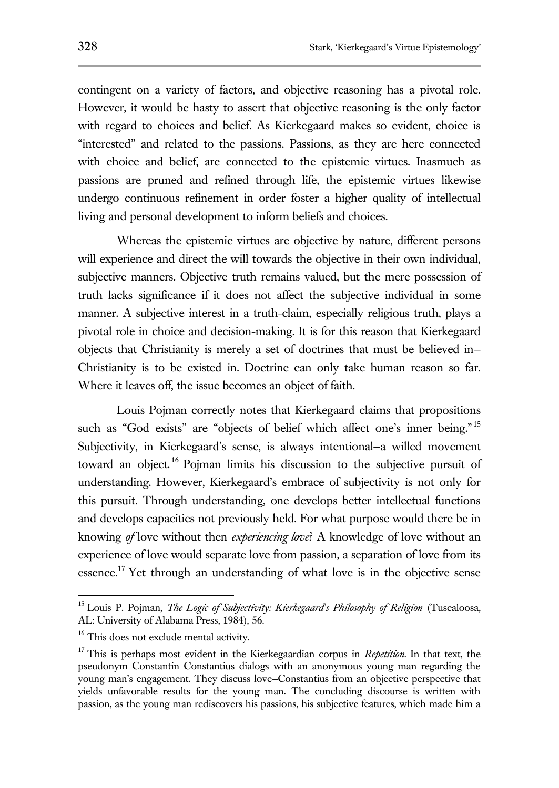contingent on a variety of factors, and objective reasoning has a pivotal role. However, it would be hasty to assert that objective reasoning is the only factor with regard to choices and belief. As Kierkegaard makes so evident, choice is "interested" and related to the passions. Passions, as they are here connected with choice and belief, are connected to the epistemic virtues. Inasmuch as passions are pruned and refined through life, the epistemic virtues likewise undergo continuous refinement in order foster a higher quality of intellectual living and personal development to inform beliefs and choices.

Whereas the epistemic virtues are objective by nature, different persons will experience and direct the will towards the objective in their own individual, subjective manners. Objective truth remains valued, but the mere possession of truth lacks significance if it does not affect the subjective individual in some manner. A subjective interest in a truth-claim, especially religious truth, plays a pivotal role in choice and decision-making. It is for this reason that Kierkegaard objects that Christianity is merely a set of doctrines that must be believed in— Christianity is to be existed in. Doctrine can only take human reason so far. Where it leaves off, the issue becomes an object of faith.

Louis Pojman correctly notes that Kierkegaard claims that propositions such as "God exists" are "objects of belief which affect one's inner being."<sup>15</sup> Subjectivity, in Kierkegaard's sense, is always intentional—a willed movement toward an object.<sup>16</sup> Pojman limits his discussion to the subjective pursuit of understanding. However, Kierkegaard's embrace of subjectivity is not only for this pursuit. Through understanding, one develops better intellectual functions and develops capacities not previously held. For what purpose would there be in knowing *of* love without then *experiencing love*? A knowledge of love without an experience of love would separate love from passion, a separation of love from its essence.<sup>17</sup> Yet through an understanding of what love is in the objective sense

<sup>15</sup> Louis P. Pojman, *The Logic of Subjectivity: Kierkegaard's Philosophy of Religion* (Tuscaloosa, AL: University of Alabama Press, 1984), 56.

<sup>&</sup>lt;sup>16</sup> This does not exclude mental activity.

<sup>17</sup> This is perhaps most evident in the Kierkegaardian corpus in *Repetition*. In that text, the pseudonym Constantin Constantius dialogs with an anonymous young man regarding the young man's engagement. They discuss love—Constantius from an objective perspective that yields unfavorable results for the young man. The concluding discourse is written with passion, as the young man rediscovers his passions, his subjective features, which made him a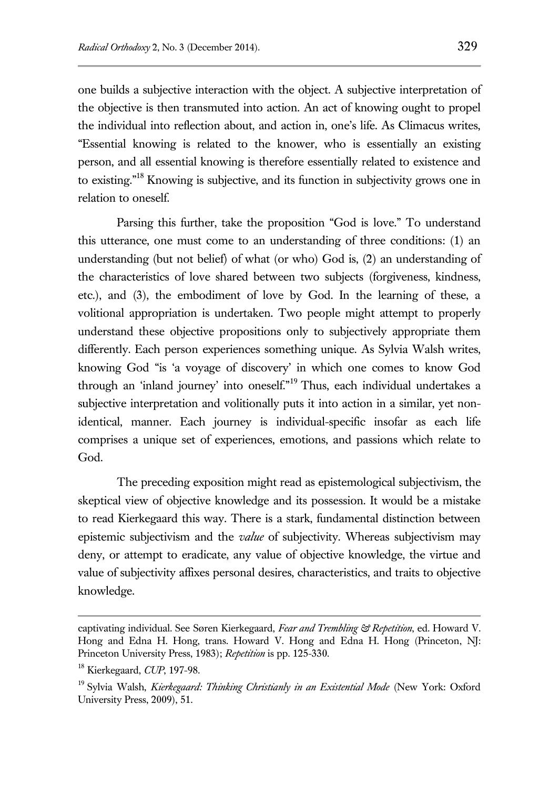one builds a subjective interaction with the object. A subjective interpretation of the objective is then transmuted into action. An act of knowing ought to propel the individual into reflection about, and action in, one's life. As Climacus writes, "Essential knowing is related to the knower, who is essentially an existing person, and all essential knowing is therefore essentially related to existence and to existing."<sup>18</sup> Knowing is subjective, and its function in subjectivity grows one in relation to oneself.

Parsing this further, take the proposition "God is love." To understand this utterance, one must come to an understanding of three conditions: (1) an understanding (but not belief) of what (or who) God is, (2) an understanding of the characteristics of love shared between two subjects (forgiveness, kindness, etc.), and (3), the embodiment of love by God. In the learning of these, a volitional appropriation is undertaken. Two people might attempt to properly understand these objective propositions only to subjectively appropriate them differently. Each person experiences something unique. As Sylvia Walsh writes, knowing God "is 'a voyage of discovery' in which one comes to know God through an 'inland journey' into oneself."<sup>19</sup> Thus, each individual undertakes a subjective interpretation and volitionally puts it into action in a similar, yet nonidentical, manner. Each journey is individual-specific insofar as each life comprises a unique set of experiences, emotions, and passions which relate to God.

The preceding exposition might read as epistemological subjectivism, the skeptical view of objective knowledge and its possession. It would be a mistake to read Kierkegaard this way. There is a stark, fundamental distinction between epistemic subjectivism and the *value* of subjectivity. Whereas subjectivism may deny, or attempt to eradicate, any value of objective knowledge, the virtue and value of subjectivity affixes personal desires, characteristics, and traits to objective knowledge.

captivating individual. See Søren Kierkegaard, *Fear and Trembling & Repetition*, ed. Howard V. Hong and Edna H. Hong, trans. Howard V. Hong and Edna H. Hong (Princeton, NJ: Princeton University Press, 1983); *Repetition* is pp. 125-330.

<sup>18</sup> Kierkegaard, *CUP*, 197-98.

<sup>19</sup> Sylvia Walsh, *Kierkegaard: Thinking Christianly in an Existential Mode* (New York: Oxford University Press, 2009), 51.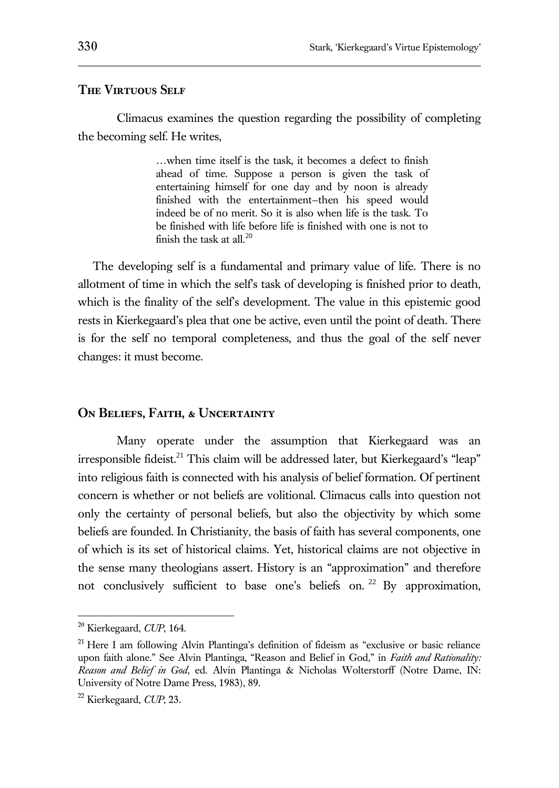# **The Virtuous Self**

Climacus examines the question regarding the possibility of completing the becoming self. He writes,

> …when time itself is the task, it becomes a defect to finish ahead of time. Suppose a person is given the task of entertaining himself for one day and by noon is already finished with the entertainment—then his speed would indeed be of no merit. So it is also when life is the task. To be finished with life before life is finished with one is not to finish the task at all. $^{20}$

The developing self is a fundamental and primary value of life. There is no allotment of time in which the self's task of developing is finished prior to death, which is the finality of the self's development. The value in this epistemic good rests in Kierkegaard's plea that one be active, even until the point of death. There is for the self no temporal completeness, and thus the goal of the self never changes: it must become.

## **On Beliefs, Faith, & Uncertainty**

Many operate under the assumption that Kierkegaard was an irresponsible fideist.<sup>21</sup> This claim will be addressed later, but Kierkegaard's "leap" into religious faith is connected with his analysis of belief formation. Of pertinent concern is whether or not beliefs are volitional. Climacus calls into question not only the certainty of personal beliefs, but also the objectivity by which some beliefs are founded. In Christianity, the basis of faith has several components, one of which is its set of historical claims. Yet, historical claims are not objective in the sense many theologians assert. History is an "approximation" and therefore not conclusively sufficient to base one's beliefs on.  $22$  By approximation,

<sup>20</sup> Kierkegaard, *CUP*, 164.

 $21$  Here I am following Alvin Plantinga's definition of fideism as "exclusive or basic reliance upon faith alone." See Alvin Plantinga, "Reason and Belief in God," in *Faith and Rationality: Reason and Belief in God*, ed. Alvin Plantinga & Nicholas Wolterstorff (Notre Dame, IN: University of Notre Dame Press, 1983), 89.

<sup>22</sup> Kierkegaard, *CUP*, 23.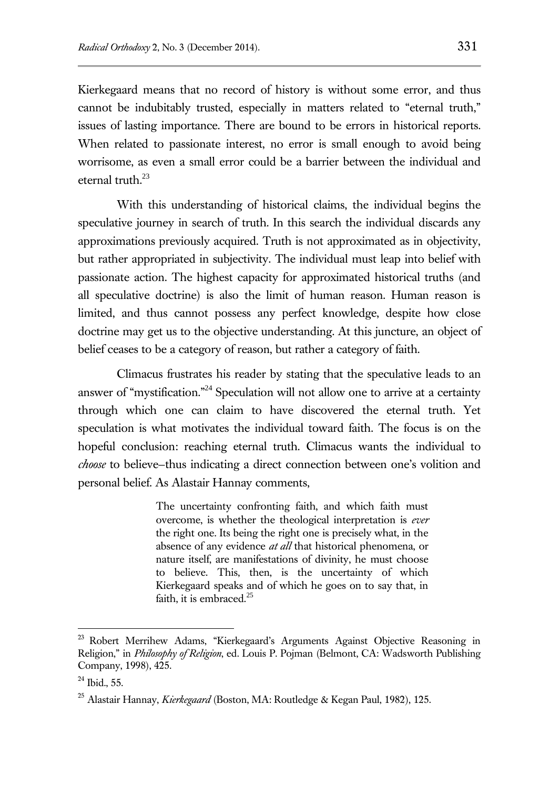Kierkegaard means that no record of history is without some error, and thus cannot be indubitably trusted, especially in matters related to "eternal truth," issues of lasting importance. There are bound to be errors in historical reports. When related to passionate interest, no error is small enough to avoid being worrisome, as even a small error could be a barrier between the individual and eternal truth. $^{23}$ 

With this understanding of historical claims, the individual begins the speculative journey in search of truth. In this search the individual discards any approximations previously acquired. Truth is not approximated as in objectivity, but rather appropriated in subjectivity. The individual must leap into belief with passionate action. The highest capacity for approximated historical truths (and all speculative doctrine) is also the limit of human reason. Human reason is limited, and thus cannot possess any perfect knowledge, despite how close doctrine may get us to the objective understanding. At this juncture, an object of belief ceases to be a category of reason, but rather a category of faith.

Climacus frustrates his reader by stating that the speculative leads to an answer of "mystification."<sup>24</sup> Speculation will not allow one to arrive at a certainty through which one can claim to have discovered the eternal truth. Yet speculation is what motivates the individual toward faith. The focus is on the hopeful conclusion: reaching eternal truth. Climacus wants the individual to *choose* to believe—thus indicating a direct connection between one's volition and personal belief. As Alastair Hannay comments,

> The uncertainty confronting faith, and which faith must overcome, is whether the theological interpretation is *ever* the right one. Its being the right one is precisely what, in the absence of any evidence *at all* that historical phenomena, or nature itself, are manifestations of divinity, he must choose to believe. This, then, is the uncertainty of which Kierkegaard speaks and of which he goes on to say that, in faith, it is embraced. $25$

<sup>&</sup>lt;sup>23</sup> Robert Merrihew Adams, "Kierkegaard's Arguments Against Objective Reasoning in Religion," in *Philosophy of Religion*, ed. Louis P. Pojman (Belmont, CA: Wadsworth Publishing Company, 1998), 425.

 $24$  Ibid., 55.

<sup>25</sup> Alastair Hannay, *Kierkegaard* (Boston, MA: Routledge & Kegan Paul, 1982), 125.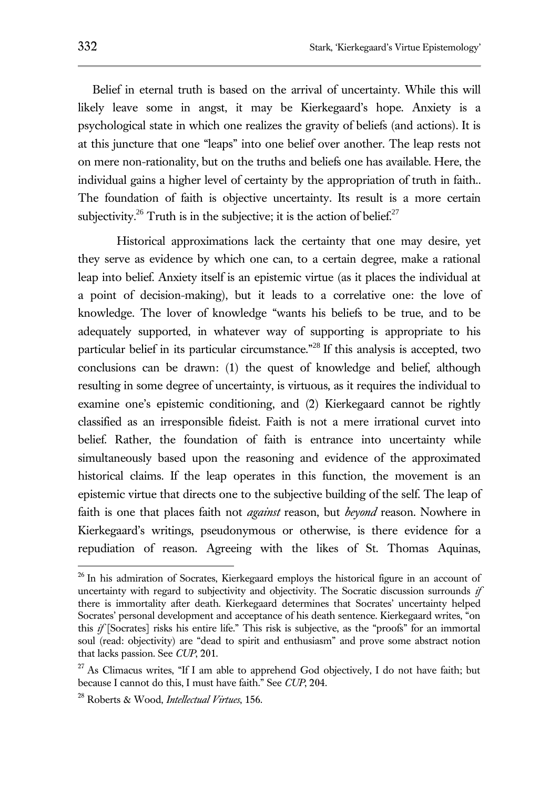Belief in eternal truth is based on the arrival of uncertainty. While this will likely leave some in angst, it may be Kierkegaard's hope. Anxiety is a psychological state in which one realizes the gravity of beliefs (and actions). It is at this juncture that one "leaps" into one belief over another. The leap rests not on mere non-rationality, but on the truths and beliefs one has available. Here, the individual gains a higher level of certainty by the appropriation of truth in faith.. The foundation of faith is objective uncertainty. Its result is a more certain subjectivity.<sup>26</sup> Truth is in the subjective; it is the action of belief.<sup>27</sup>

Historical approximations lack the certainty that one may desire, yet they serve as evidence by which one can, to a certain degree, make a rational leap into belief. Anxiety itself is an epistemic virtue (as it places the individual at a point of decision-making), but it leads to a correlative one: the love of knowledge. The lover of knowledge "wants his beliefs to be true, and to be adequately supported, in whatever way of supporting is appropriate to his particular belief in its particular circumstance.<sup>"28</sup> If this analysis is accepted, two conclusions can be drawn: (1) the quest of knowledge and belief, although resulting in some degree of uncertainty, is virtuous, as it requires the individual to examine one's epistemic conditioning, and (2) Kierkegaard cannot be rightly classified as an irresponsible fideist. Faith is not a mere irrational curvet into belief. Rather, the foundation of faith is entrance into uncertainty while simultaneously based upon the reasoning and evidence of the approximated historical claims. If the leap operates in this function, the movement is an epistemic virtue that directs one to the subjective building of the self. The leap of faith is one that places faith not *against* reason, but *beyond* reason. Nowhere in Kierkegaard's writings, pseudonymous or otherwise, is there evidence for a repudiation of reason. Agreeing with the likes of St. Thomas Aquinas,

<sup>&</sup>lt;sup>26</sup> In his admiration of Socrates, Kierkegaard employs the historical figure in an account of uncertainty with regard to subjectivity and objectivity. The Socratic discussion surrounds *if* there is immortality after death. Kierkegaard determines that Socrates' uncertainty helped Socrates' personal development and acceptance of his death sentence. Kierkegaard writes, "on this *if* [Socrates] risks his entire life." This risk is subjective, as the "proofs" for an immortal soul (read: objectivity) are "dead to spirit and enthusiasm" and prove some abstract notion that lacks passion. See *CUP*, 201.

<sup>&</sup>lt;sup>27</sup> As Climacus writes, "If I am able to apprehend God objectively, I do not have faith; but because I cannot do this, I must have faith." See *CUP*, 204.

<sup>28</sup> Roberts & Wood, *Intellectual Virtues*, 156.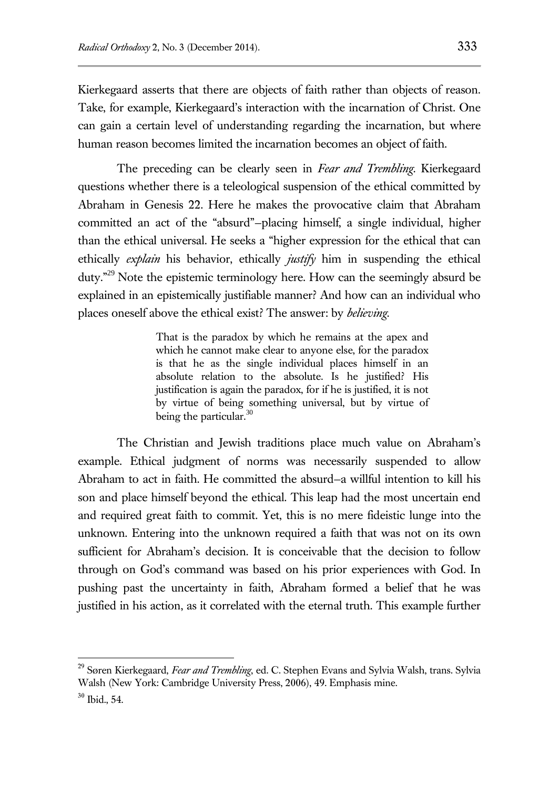Kierkegaard asserts that there are objects of faith rather than objects of reason. Take, for example, Kierkegaard's interaction with the incarnation of Christ. One can gain a certain level of understanding regarding the incarnation, but where human reason becomes limited the incarnation becomes an object of faith.

The preceding can be clearly seen in *Fear and Trembling*. Kierkegaard questions whether there is a teleological suspension of the ethical committed by Abraham in Genesis 22. Here he makes the provocative claim that Abraham committed an act of the "absurd"—placing himself, a single individual, higher than the ethical universal. He seeks a "higher expression for the ethical that can ethically *explain* his behavior, ethically *justify* him in suspending the ethical duty."<sup>29</sup> Note the epistemic terminology here. How can the seemingly absurd be explained in an epistemically justifiable manner? And how can an individual who places oneself above the ethical exist? The answer: by *believing*.

> That is the paradox by which he remains at the apex and which he cannot make clear to anyone else, for the paradox is that he as the single individual places himself in an absolute relation to the absolute. Is he justified? His justification is again the paradox, for if he is justified, it is not by virtue of being something universal, but by virtue of being the particular.<sup>30</sup>

The Christian and Jewish traditions place much value on Abraham's example. Ethical judgment of norms was necessarily suspended to allow Abraham to act in faith. He committed the absurd—a willful intention to kill his son and place himself beyond the ethical. This leap had the most uncertain end and required great faith to commit. Yet, this is no mere fideistic lunge into the unknown. Entering into the unknown required a faith that was not on its own sufficient for Abraham's decision. It is conceivable that the decision to follow through on God's command was based on his prior experiences with God. In pushing past the uncertainty in faith, Abraham formed a belief that he was justified in his action, as it correlated with the eternal truth. This example further

<sup>29</sup> Søren Kierkegaard, *Fear and Trembling*, ed. C. Stephen Evans and Sylvia Walsh, trans. Sylvia Walsh (New York: Cambridge University Press, 2006), 49. Emphasis mine.

 $30$  Ibid., 54.